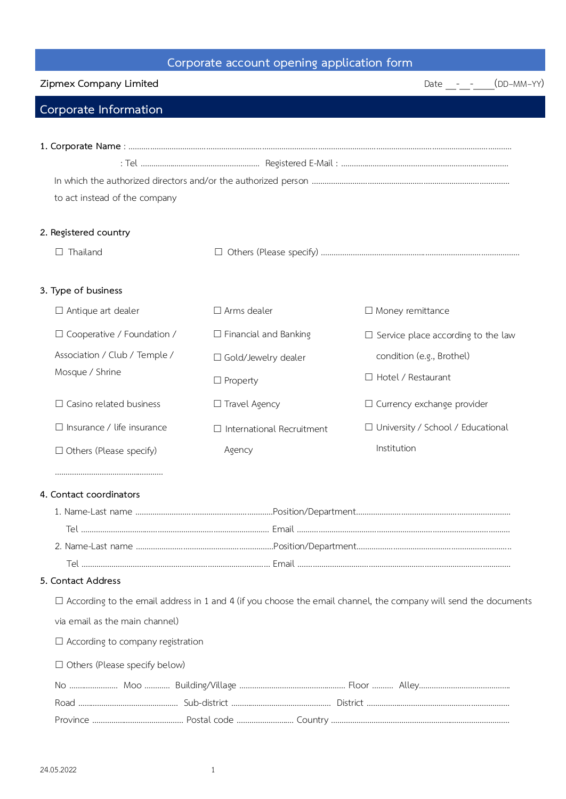## **Corporate account opening application form**

| Zipmex Company Limited                           | $(DD-MM-YY)$<br>Date $ -$        |                                                                                                                        |  |  |
|--------------------------------------------------|----------------------------------|------------------------------------------------------------------------------------------------------------------------|--|--|
| Corporate Information                            |                                  |                                                                                                                        |  |  |
|                                                  |                                  |                                                                                                                        |  |  |
|                                                  |                                  |                                                                                                                        |  |  |
|                                                  |                                  |                                                                                                                        |  |  |
| to act instead of the company                    |                                  |                                                                                                                        |  |  |
| 2. Registered country                            |                                  |                                                                                                                        |  |  |
| $\Box$ Thailand                                  |                                  |                                                                                                                        |  |  |
| 3. Type of business                              |                                  |                                                                                                                        |  |  |
| $\Box$ Antique art dealer                        | $\Box$ Arms dealer               | $\Box$ Money remittance                                                                                                |  |  |
| $\Box$ Cooperative / Foundation /                | $\Box$ Financial and Banking     | $\Box$ Service place according to the law                                                                              |  |  |
| Association / Club / Temple /<br>Mosque / Shrine | □ Gold/Jewelry dealer            | condition (e.g., Brothel)                                                                                              |  |  |
|                                                  | $\Box$ Property                  | □ Hotel / Restaurant                                                                                                   |  |  |
| $\Box$ Casino related business                   | □ Travel Agency                  | $\Box$ Currency exchange provider                                                                                      |  |  |
| $\Box$ Insurance / life insurance                |                                  |                                                                                                                        |  |  |
|                                                  | $\Box$ International Recruitment | □ University / School / Educational<br>Institution                                                                     |  |  |
| $\Box$ Others (Please specify)                   | Agency                           |                                                                                                                        |  |  |
| 4. Contact coordinators                          |                                  |                                                                                                                        |  |  |
|                                                  |                                  |                                                                                                                        |  |  |
|                                                  |                                  |                                                                                                                        |  |  |
|                                                  |                                  |                                                                                                                        |  |  |
|                                                  |                                  |                                                                                                                        |  |  |
| 5. Contact Address                               |                                  |                                                                                                                        |  |  |
|                                                  |                                  | $\Box$ According to the email address in 1 and 4 (if you choose the email channel, the company will send the documents |  |  |
| via email as the main channel)                   |                                  |                                                                                                                        |  |  |
| $\Box$ According to company registration         |                                  |                                                                                                                        |  |  |
| $\Box$ Others (Please specify below)             |                                  |                                                                                                                        |  |  |
|                                                  |                                  |                                                                                                                        |  |  |
|                                                  |                                  |                                                                                                                        |  |  |
|                                                  |                                  |                                                                                                                        |  |  |